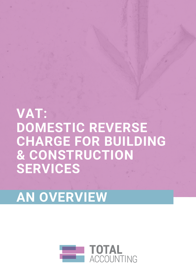

# AN OVERVIEW

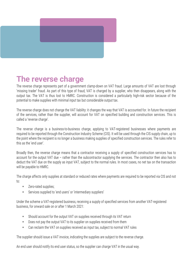

## The reverse charge

The reverse charge represents part of a government clamp-down on VAT fraud. Large amounts of VAT are lost through 'missing trader' fraud. As part of this type of fraud, VAT is charged by a supplier, who then disappears, along with the output tax. The VAT is thus lost to HMRC. Construction is considered a particularly high-risk sector because of the potential to make supplies with minimal input tax but considerable output tax.

The reverse charge does not change the VAT liability: it changes the way that VAT is accounted for. In future the recipient of the services, rather than the supplier, will account for VAT on specified building and construction services. This is called a 'reverse charge'.

The reverse charge is a business-to-business charge, applying to VAT-registered businesses where payments are required to be reported through the Construction Industry Scheme (CIS). It will be used through the CIS supply chain, up to the point where the recipient is no longer a business making supplies of specified construction services. The rules refer to this as the 'end user'.

Broadly then, the reverse charge means that a contractor receiving a supply of specified construction services has to account for the output VAT due – rather than the subcontractor supplying the services. The contractor then also has to deduct the VAT due on the supply as input VAT, subject to the normal rules. In most cases, no net tax on the transaction will be payable to HMRC.

The charge affects only supplies at standard or reduced rates where payments are required to be reported via CIS and not to:

- Zero-rated supplies;
- Services supplied to 'end users' or 'intermediary suppliers'

Under the scheme a VAT-registered business, receiving a supply of specified services from another VAT-registered business, for onward sale on or after 1 March 2021:

- Should account for the output VAT on supplies received through its VAT return
- Does not pay the output VAT to its supplier on supplies received from them
- Can reclaim the VAT on supplies received as input tax, subject to normal VAT rules

The supplier should issue a VAT invoice, indicating the supplies are subject to the reverse charge.

An end user should notify its end user status, so the supplier can charge VAT in the usual way.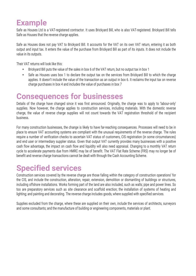## Example

Safe as Houses Ltd is a VAT-registered contractor. It uses Brickyard Bill, who is also VAT-registered. Brickyard Bill tells Safe as Houses that the reverse charge applies.

Safe as Houses does not pay VAT to Brickyard Bill. It accounts for the VAT on its own VAT return, entering it as both output and input tax. It enters the value of the purchase from Brickyard Bill as part of its inputs. It does not include the value in its outputs.

Their VAT returns will look like this:

- Brickyard Bill puts the value of the sales in box 6 of the VAT return, but no output tax in box 1
- Safe as Houses uses box 1 to declare the output tax on the services from Brickyard Bill to which the charge applies. It doesn't include the value of the transaction as an output in box 6. It reclaims the input tax on reverse charge purchases in box 4 and includes the value of purchases in box 7

#### Consequences for businesses

Details of the charge have changed since it was first announced. Originally, the charge was to apply to 'labour-only' supplies. Now however, the charge applies to construction services, including materials. With the domestic reverse charge, the value of reverse charge supplies will not count towards the VAT registration threshold of the recipient business.

For many construction businesses, the change is likely to have far-reaching consequences. Processes will need to be in place to ensure VAT accounting systems are compliant with the unusual requirements of the reverse charge. The rules require a number of verification checks to ascertain VAT status of customers, CIS registration (in some circumstances) and end user or intermediary supplier status. Given that output VAT currently provides many businesses with a positive cash flow advantage, the impact on cash flow and liquidity will also need appraisal. Changing to a monthly VAT return cycle to accelerate payments due from HMRC may be of benefit. The VAT Flat Rate Scheme (FRS) may no longer be of benefit and reverse charge transactions cannot be dealt with through the Cash Accounting Scheme.

# Specified services

Construction services covered by the reverse charge are those falling within the category of construction operations' for the CIS, and include the construction, alteration, repair, extension, demolition or dismantling of buildings or structures, including offshore installations. Works forming part of the land are also included, such as walls; pipe and power lines. So too are preparatory services such as site clearance and scaffold erection; the installation of systems of heating and lighting; and painting and decorating. The reverse charge includes goods, where supplied with specified services.

Supplies excluded from the charge, where these are supplied on their own, include the services of architects, surveyors and some consultants; and the manufacture of building or engineering components, materials or plant.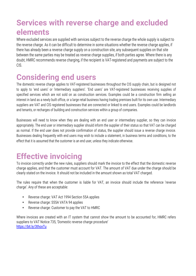## Services with reverse charge and excluded elements

Where excluded services are supplied with services subject to the reverse charge the whole supply is subject to the reverse charge. As it can be difficult to determine in some situations whether the reverse charge applies, if there has already been a reverse charge supply on a construction site, any subsequent supplies on that site between the same parties may be treated as reverse charge supplies, if both parties agree. Where there is any doubt, HMRC recommends reverse charging, if the recipient is VAT-registered and payments are subject to the CIS.

#### Considering end users

The domestic reverse charge applies to VAT-registered businesses throughout the CIS supply chain, but is designed not to apply to 'end users' or 'intermediary suppliers'. 'End users' are VAT-registered businesses receiving supplies of specified services which are not sold on as construction services. Examples could be a construction firm selling an interest in land as a newly built office, or a large retail business having trading premises built for its own use. Intermediary suppliers are VAT and CIS registered businesses that are connected or linked to end users. Examples could be landlords and tenants, or recharges of building and construction services within a group of companies.

Businesses will need to know when they are dealing with an end user or intermediary supplier, so they can invoice appropriately. The end user or intermediary supplier should inform the supplier of their status so that VAT can be charged as normal. If the end user does not provide confirmation of status, the supplier should issue a reverse charge invoice. Businesses dealing frequently with end users may wish to include a statement, in business terms and conditions, to the effect that it is assumed that the customer is an end user, unless they indicate otherwise.

# Effective invoicing

To invoice correctly under the new rules, suppliers should mark the invoice to the effect that the domestic reverse charge applies, and that the customer must account for VAT. The amount of VAT due under the charge should be clearly stated on the invoice. It should not be included in the amount shown as total VAT charged.

The rules require that when the customer is liable for VAT, an invoice should include the reference 'reverse charge'. Any of these are acceptable:

- Reverse charge: VAT Act 1994 Section 55A applies
- Reverse charge: S55A VATA 94 applies
- Reverse charge: Customer to pay the VAT to HMRC

Where invoices are created with an IT system that cannot show the amount to be accounted for, HMRC refers suppliers to VAT Notice 735, 'Domestic reverse charge procedure' https://bit.ly/3thoxTu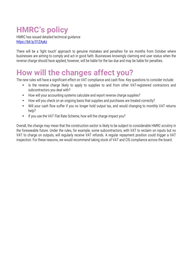# HMRC's policy

HMRC has issued detailed technical guidance https://bit.ly/31ZAykz

 There will be a 'light touch' approach to genuine mistakes and penalties for six months from October where businesses are aiming to comply and act in good faith. Businesses knowingly claiming end user status when the reverse charge should have applied, however, will be liable for the tax due and may be liable for penalties.

## How will the changes affect you?

The new rules will have a significant effect on VAT compliance and cash flow. Key questions to consider include:

- Is the reverse charge likely to apply to supplies to and from other VAT-registered contractors and subcontractors you deal with?
- How will your accounting systems calculate and report reverse charge supplies?
- How will you check on an ongoing basis that supplies and purchases are treated correctly?
- Will your cash flow suffer if you no longer hold output tax, and would changing to monthly VAT returns help?
- If you use the VAT Flat Rate Scheme, how will the charge impact you?

Overall, the change may mean that the construction sector is likely to be subject to considerable HMRC scrutiny in the foreseeable future. Under the rules, for example, some subcontractors, with VAT to reclaim on inputs but no VAT to charge on outputs, will regularly receive VAT refunds. A regular repayment position could trigger a VAT inspection. For these reasons, we would recommend taking stock of VAT and CIS compliance across the board.